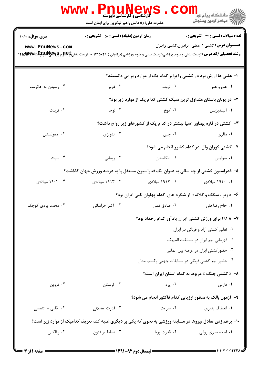|                                                                                                                                                                                  | <b>WWW.PNUNews</b><br><b>گارشناسی و کارشناسی ناپیوسته</b>                          | CO                                                                                         | ر دانشڪاه پيام نور <mark>−</mark><br>ا∛ مرکز آزمون وسنجش               |  |
|----------------------------------------------------------------------------------------------------------------------------------------------------------------------------------|------------------------------------------------------------------------------------|--------------------------------------------------------------------------------------------|------------------------------------------------------------------------|--|
|                                                                                                                                                                                  | حضرت علی(ع): دانش راهبر نیکویی برای ایمان است                                      |                                                                                            |                                                                        |  |
| <b>سری سوال :</b> یک ۱                                                                                                                                                           | <b>زمان آزمون (دقیقه) : تستی : 50 ٪ تشریحی : 0</b>                                 |                                                                                            | تعداد سوالات : تستى : 24 - تشريحي : 0                                  |  |
| www.PnuNews.com<br><b>رشته تحصیلی/کد درس:</b> تربیت بدنی وعلوم ورزشی،تربیت بدنی وعلوم ورزشی (برادران ) ۱۲۱۵۰۲۹ - ،تربیت بدنی‡علوم <sub>1</sub> 3999999999994 (۱۲۱۵ <b>۹۷۷</b> ۹۶ |                                                                                    |                                                                                            | <b>عنـــوان درس:</b> کشتی ۱-عملی -برادران،کشتی برادران                 |  |
|                                                                                                                                                                                  |                                                                                    | ا- هلنی ها ارزش برد در کشتی را برابر کدام یک از موارد زیر می دانستند؟                      |                                                                        |  |
| ۰۴ رسیدن به حکومت                                                                                                                                                                | ۰۳ غرور                                                                            | ۰۲ ثروت                                                                                    | ۰۱ علم و هنر                                                           |  |
|                                                                                                                                                                                  |                                                                                    |                                                                                            | ۲- در یونان باستان متداول ترین سبک کشتی کدام یک از موارد زیر بود؟      |  |
| ۰۴ تزینت                                                                                                                                                                         | ۰۳ لوجا                                                                            | ۰۲ کوخ                                                                                     | ۰۱ آلیندیزیس                                                           |  |
|                                                                                                                                                                                  |                                                                                    |                                                                                            | ۳- کشتی در قاره پهناور آسیا بیشتر در کدام یک از کشورهای زیر رواج داشت؟ |  |
| ۰۴ مغولستان                                                                                                                                                                      | ۰۳ اندونزی                                                                         | ۰۲ چين                                                                                     | ۰۱ مالزی                                                               |  |
|                                                                                                                                                                                  |                                                                                    |                                                                                            | ۴- کشتی کوران وال در کدام کشور انجام می شود؟                           |  |
| ۰۴ سوئد                                                                                                                                                                          | ۰۳ رومانی                                                                          | ۰۲ انگلستان                                                                                | ۰۱ سوئیس                                                               |  |
|                                                                                                                                                                                  | ۵– فدراسیون کشتی از چه سالی به عنوان یک فدراسیون مستقل پا به عرصه ورزش جهان گذاشت؟ |                                                                                            |                                                                        |  |
| ۰۴ ۱۹۰۴ میلادی                                                                                                                                                                   | ۰۳ ۱۹۱۳ میلادی                                                                     | ۲. ۱۹۱۲ میلادی                                                                             | ۰۱ ۱۹۲۰ میلادی                                                         |  |
|                                                                                                                                                                                  |                                                                                    |                                                                                            | ۶- « زیر ، سگک و کلاته» از شگرد های کدام پهلوان نامی ایران بود؟        |  |
| ۰۴ محمد یزدی کوچک                                                                                                                                                                | ۰۳ اکبر خراسانی                                                                    | ۰۲ صادق قمی                                                                                | ٠١ حاج رضا قلي                                                         |  |
|                                                                                                                                                                                  |                                                                                    |                                                                                            |                                                                        |  |
|                                                                                                                                                                                  |                                                                                    | ۷– ۱۹۴۸ برای ورزش کشتی ایران یادآور کدام رخداد بود؟<br>۰۱ تعلیم کشتی آزاد و فرنگی در ایران |                                                                        |  |
|                                                                                                                                                                                  |                                                                                    | ۰۲ قهرمانی تیم ایران در مسابقات المپیک                                                     |                                                                        |  |
|                                                                                                                                                                                  | ۰۳ حضور کشتی ایران در عرصه بین المللی                                              |                                                                                            |                                                                        |  |
|                                                                                                                                                                                  |                                                                                    | ۰۴ حضور تیم کشتی فرنگی در مسابقات جهانی وکسب مدال                                          |                                                                        |  |
|                                                                                                                                                                                  |                                                                                    | ۸- « کشتی جنگ » مربوط به کدام استان ایران است؟                                             |                                                                        |  |
| ۰۴ قزوين                                                                                                                                                                         | ۰۳ لرستان                                                                          | ۰۲ یزد                                                                                     | ۰۱ فارس                                                                |  |
|                                                                                                                                                                                  |                                                                                    |                                                                                            | ۹- آزمون بالک به منظور ارزیابی کدام فاکتور انجام می شود؟               |  |
| ۰۴ قلبی - تنفسی                                                                                                                                                                  | ۰۳ قدرت عضلانی                                                                     | ۰۲ سرعت                                                                                    | ٠١. انعطاف پذيري                                                       |  |
| ۱۰- برهم زدن تعادل نیروها در مسابقه ورزشی به نحوی که یکی بر دیگری غلبه کند تعریف کدامیک از موارد زیر است؟                                                                        |                                                                                    |                                                                                            |                                                                        |  |
| ۰۴ رفلکس                                                                                                                                                                         | ۰۳ تسلط بر فنون                                                                    | ۰۲ قدرت پویا                                                                               | ۰۱ آماده سازی روانی                                                    |  |
|                                                                                                                                                                                  |                                                                                    |                                                                                            |                                                                        |  |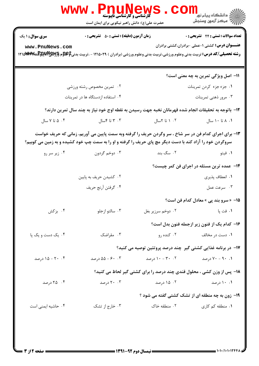|                                                                                                                                                                                                                                  | <b>WWW</b><br>PHUNEWS<br><b>گارشناسی و کارشناسی ناپیوسته</b><br>حضرت علی(ع): دانش راهبر نیکویی برای ایمان است |                         | ر دانشڪاه پيام نور <mark>−</mark><br>ر <i>ا</i> =<br>رکز آزمون وسنڊش   |  |  |
|----------------------------------------------------------------------------------------------------------------------------------------------------------------------------------------------------------------------------------|---------------------------------------------------------------------------------------------------------------|-------------------------|------------------------------------------------------------------------|--|--|
| <b>سری سوال : ۱ یک</b>                                                                                                                                                                                                           | <b>زمان آزمون (دقیقه) : تستی : 50 ٪ تشریحی : 0</b>                                                            |                         | تعداد سوالات : تستي : 24 ۔ تشریحي : 0                                  |  |  |
| <b>عنـــوان درس:</b> کشتی ۱-عملی -برادران،کشتی برادران<br>www.PnuNews.com<br><b>رشته تحصیلی/کد درس:</b> تربیت بدنی وعلوم ورزشی،تربیت بدنی وعلوم ورزشی (برادران ) ۱۲۱۵۰۲۹ - ،تربیت بدنی‡علوم <sub>1</sub> ۳۱۵ پیچلیل با ۱۲۱۵ میلا |                                                                                                               |                         |                                                                        |  |  |
|                                                                                                                                                                                                                                  |                                                                                                               |                         | 11- اصل ویژگی تمرین به چه معنی است؟                                    |  |  |
| ۰۲ تمرین مخصوص رشته ورزشی                                                                                                                                                                                                        |                                                                                                               | ١. جزء جزء كردن تمرينات |                                                                        |  |  |
| ۰۴ استفاده ازدستگاه ها در تمرینات                                                                                                                                                                                                |                                                                                                               |                         | ۰۳ مرور ذهنی تمرینات                                                   |  |  |
| ۱۲- باتوجه به تحقیقات انجام شده قهرمانان نخبه جهت رسیدن به نقطه اوج خود نیاز به چند سال تمرین دارند؟                                                                                                                             |                                                                                                               |                         |                                                                        |  |  |
| ۰۴ ۵ تا ۷ سال                                                                                                                                                                                                                    | ۰۳ تا ۴سال                                                                                                    | ۰۲ ۱ تا ۲سال            | ۰۱ ۸ تا ۱۰ سال                                                         |  |  |
| ۱۳- برای اجرای کدام فن در سر شاخ ، سر وگردن حریف را گرفته وبه سمت پایین می آوریم، زمانی که حریف خواست<br>سروگردن خود را آزاد کند با دست دیگر مچ پای حریف را گرفته و او را به سمت چپ خود کشیده و به زمین می کوبیم؟                |                                                                                                               |                         |                                                                        |  |  |
| ۰۴ زیر سر رو                                                                                                                                                                                                                     | ۰۳ دوخم گردون                                                                                                 | ۲. سگ بند               | ۰۱ فیتو                                                                |  |  |
|                                                                                                                                                                                                                                  |                                                                                                               |                         | <b>۱۴</b> - عمده ترین مسئله در اجرای فن کمر چیست؟                      |  |  |
|                                                                                                                                                                                                                                  | ۰۲ کشیدن حریف به پایین                                                                                        |                         | ٠١. انعطاف پذيري                                                       |  |  |
|                                                                                                                                                                                                                                  | ۰۴ گرفتن أرنج حريف                                                                                            |                         | ۰۳ سرعت عمل                                                            |  |  |
|                                                                                                                                                                                                                                  |                                                                                                               |                         | 1۵– «سرو بند پی » معادل کدام فن است؟                                   |  |  |
| ۰۴ بزکش                                                                                                                                                                                                                          | ۰۳ سالتو ازجلو                                                                                                | ۰۲ دوخم سرزیر بغل       | ۰۱ فت پا                                                               |  |  |
|                                                                                                                                                                                                                                  |                                                                                                               |                         | ۱۶- کدام یک از فنون زیر ازجمله فنون بدل است؟                           |  |  |
| ۰۴ یک دست و یک پا                                                                                                                                                                                                                | ۰۳ مقراضک                                                                                                     | ۰۲ کنده رو              | ۰۱ دست در مخالف                                                        |  |  |
|                                                                                                                                                                                                                                  | ۱۷- در برنامه غذایی کشتی گیر چند درصد پروتئین توصیه می کنید؟                                                  |                         |                                                                        |  |  |
| ۰۴ - ۱۵ درصد                                                                                                                                                                                                                     | ۰۰ $-9 - 20 - 6$ درصد                                                                                         | ۰.۲ - ۱۰ درصد $\cdots$  | ۰۹ - ۷۰ درصد                                                           |  |  |
|                                                                                                                                                                                                                                  |                                                                                                               |                         | ۱۸- پس از وزن کشی ، محلول قندی چند درصد را برای کشتی گیر لحاظ می کنید؟ |  |  |
| ۰۴ درصد                                                                                                                                                                                                                          | ۲۰ ۲۰ درصد                                                                                                    | ۰۲ ۱۵ درصد              | ۰۱ ۱۰ درصد                                                             |  |  |
|                                                                                                                                                                                                                                  |                                                                                                               |                         | <b>۱۹</b> - زون به چه منطقه ای از تشک کشتی گفته می شود ؟               |  |  |
| ۰۴ حاشیه ایمنی است                                                                                                                                                                                                               | ۰۳ خارج از تشک                                                                                                | ۰۲ منطقه خاک            | ۰۱ منطقه کم کاری                                                       |  |  |
|                                                                                                                                                                                                                                  |                                                                                                               |                         |                                                                        |  |  |